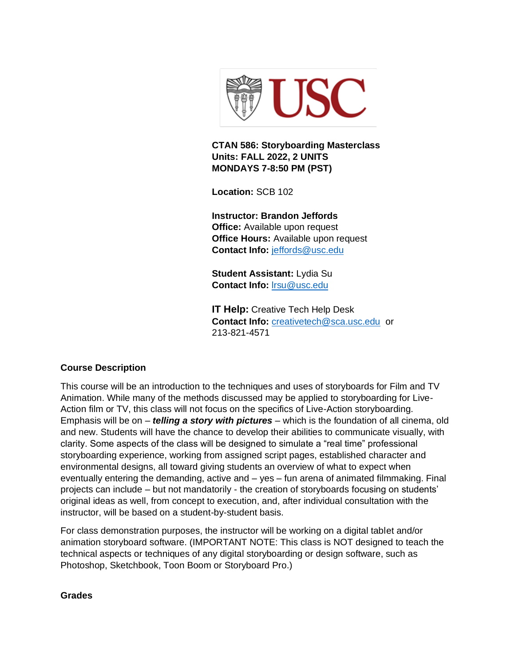

**CTAN 586: Storyboarding Masterclass Units: FALL 2022, 2 UNITS MONDAYS 7-8:50 PM (PST)**

**Location:** SCB 102

**Instructor: Brandon Jeffords Office:** Available upon request **Office Hours:** Available upon request **Contact Info:** [jeffords@usc.edu](mailto:jeffords@usc.edu)

**Student Assistant:** Lydia Su **Contact Info:** [lrsu@usc.edu](mailto:lrsu@usc.edu)

**IT Help:** Creative Tech Help Desk **Contact Info:** [creativetech@sca.usc.edu](mailto:creativetech@sca.usc.edu) or 213-821-4571

### **Course Description**

This course will be an introduction to the techniques and uses of storyboards for Film and TV Animation. While many of the methods discussed may be applied to storyboarding for Live-Action film or TV, this class will not focus on the specifics of Live-Action storyboarding. Emphasis will be on – *telling a story with pictures* – which is the foundation of all cinema, old and new. Students will have the chance to develop their abilities to communicate visually, with clarity. Some aspects of the class will be designed to simulate a "real time" professional storyboarding experience, working from assigned script pages, established character and environmental designs, all toward giving students an overview of what to expect when eventually entering the demanding, active and – yes – fun arena of animated filmmaking. Final projects can include – but not mandatorily - the creation of storyboards focusing on students' original ideas as well, from concept to execution, and, after individual consultation with the instructor, will be based on a student-by-student basis.

For class demonstration purposes, the instructor will be working on a digital tablet and/or animation storyboard software. (IMPORTANT NOTE: This class is NOT designed to teach the technical aspects or techniques of any digital storyboarding or design software, such as Photoshop, Sketchbook, Toon Boom or Storyboard Pro.)

#### **Grades**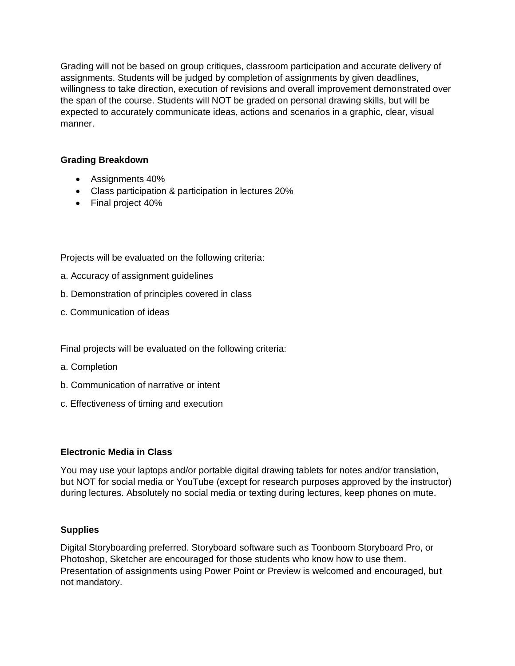Grading will not be based on group critiques, classroom participation and accurate delivery of assignments. Students will be judged by completion of assignments by given deadlines, willingness to take direction, execution of revisions and overall improvement demonstrated over the span of the course. Students will NOT be graded on personal drawing skills, but will be expected to accurately communicate ideas, actions and scenarios in a graphic, clear, visual manner.

## **Grading Breakdown**

- Assignments 40%
- Class participation & participation in lectures 20%
- Final project 40%

Projects will be evaluated on the following criteria:

- a. Accuracy of assignment guidelines
- b. Demonstration of principles covered in class
- c. Communication of ideas

Final projects will be evaluated on the following criteria:

- a. Completion
- b. Communication of narrative or intent
- c. Effectiveness of timing and execution

### **Electronic Media in Class**

You may use your laptops and/or portable digital drawing tablets for notes and/or translation, but NOT for social media or YouTube (except for research purposes approved by the instructor) during lectures. Absolutely no social media or texting during lectures, keep phones on mute.

### **Supplies**

Digital Storyboarding preferred. Storyboard software such as Toonboom Storyboard Pro, or Photoshop, Sketcher are encouraged for those students who know how to use them. Presentation of assignments using Power Point or Preview is welcomed and encouraged, but not mandatory.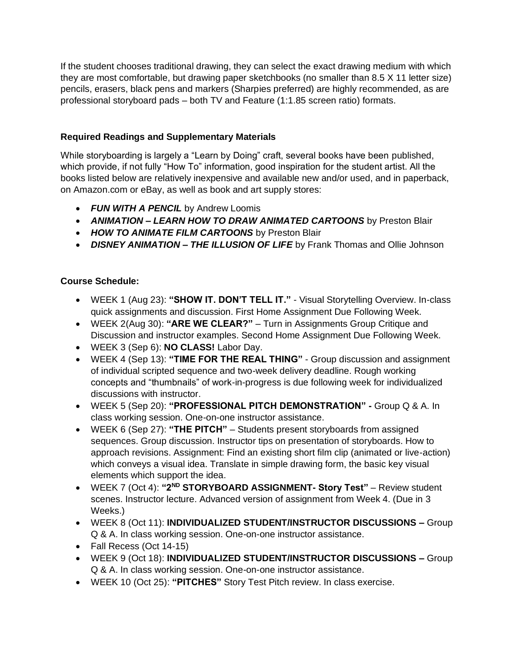If the student chooses traditional drawing, they can select the exact drawing medium with which they are most comfortable, but drawing paper sketchbooks (no smaller than 8.5 X 11 letter size) pencils, erasers, black pens and markers (Sharpies preferred) are highly recommended, as are professional storyboard pads – both TV and Feature (1:1.85 screen ratio) formats.

# **Required Readings and Supplementary Materials**

While storyboarding is largely a "Learn by Doing" craft, several books have been published, which provide, if not fully "How To" information, good inspiration for the student artist. All the books listed below are relatively inexpensive and available new and/or used, and in paperback, on Amazon.com or eBay, as well as book and art supply stores:

- *FUN WITH A PENCIL* by Andrew Loomis
- *ANIMATION – LEARN HOW TO DRAW ANIMATED CARTOONS* by Preston Blair
- *HOW TO ANIMATE FILM CARTOONS* by Preston Blair
- *DISNEY ANIMATION – THE ILLUSION OF LIFE* by Frank Thomas and Ollie Johnson

# **Course Schedule:**

- WEEK 1 (Aug 23): **"SHOW IT. DON'T TELL IT."** Visual Storytelling Overview. In-class quick assignments and discussion. First Home Assignment Due Following Week.
- WEEK 2(Aug 30): **"ARE WE CLEAR?"** Turn in Assignments Group Critique and Discussion and instructor examples. Second Home Assignment Due Following Week.
- WEEK 3 (Sep 6): **NO CLASS!** Labor Day.
- WEEK 4 (Sep 13): **"TIME FOR THE REAL THING"**  Group discussion and assignment of individual scripted sequence and two-week delivery deadline. Rough working concepts and "thumbnails" of work-in-progress is due following week for individualized discussions with instructor.
- WEEK 5 (Sep 20): **"PROFESSIONAL PITCH DEMONSTRATION" -** Group Q & A. In class working session. One-on-one instructor assistance.
- WEEK 6 (Sep 27): **"THE PITCH"**  Students present storyboards from assigned sequences. Group discussion. Instructor tips on presentation of storyboards. How to approach revisions. Assignment: Find an existing short film clip (animated or live-action) which conveys a visual idea. Translate in simple drawing form, the basic key visual elements which support the idea.
- WEEK 7 (Oct 4): **"2ND STORYBOARD ASSIGNMENT- Story Test"**  Review student scenes. Instructor lecture. Advanced version of assignment from Week 4. (Due in 3 Weeks.)
- WEEK 8 (Oct 11): **INDIVIDUALIZED STUDENT/INSTRUCTOR DISCUSSIONS –** Group Q & A. In class working session. One-on-one instructor assistance.
- Fall Recess (Oct 14-15)
- WEEK 9 (Oct 18): **INDIVIDUALIZED STUDENT/INSTRUCTOR DISCUSSIONS –** Group Q & A. In class working session. One-on-one instructor assistance.
- WEEK 10 (Oct 25): **"PITCHES"** Story Test Pitch review. In class exercise.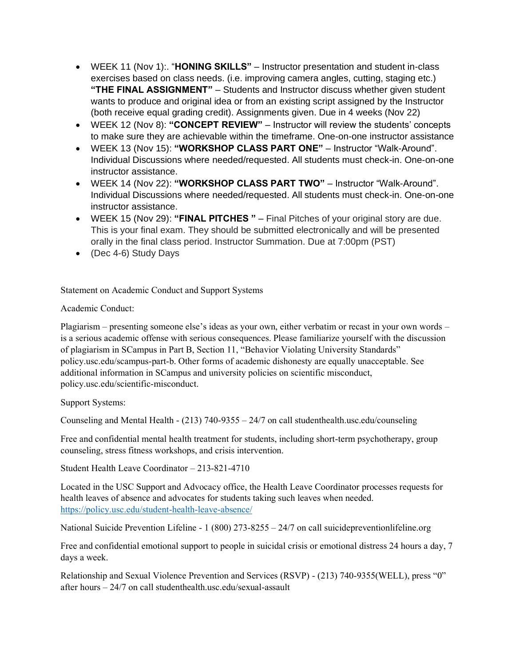- WEEK 11 (Nov 1):. "**HONING SKILLS"**  Instructor presentation and student in-class exercises based on class needs. (i.e. improving camera angles, cutting, staging etc.) **"THE FINAL ASSIGNMENT"** – Students and Instructor discuss whether given student wants to produce and original idea or from an existing script assigned by the Instructor (both receive equal grading credit). Assignments given. Due in 4 weeks (Nov 22)
- WEEK 12 (Nov 8): **"CONCEPT REVIEW"**  Instructor will review the students' concepts to make sure they are achievable within the timeframe. One-on-one instructor assistance
- WEEK 13 (Nov 15): **"WORKSHOP CLASS PART ONE"**  Instructor "Walk-Around". Individual Discussions where needed/requested. All students must check-in. One-on-one instructor assistance.
- WEEK 14 (Nov 22): **"WORKSHOP CLASS PART TWO"**  Instructor "Walk-Around". Individual Discussions where needed/requested. All students must check-in. One-on-one instructor assistance.
- WEEK 15 (Nov 29): **"FINAL PITCHES "**  Final Pitches of your original story are due. This is your final exam. They should be submitted electronically and will be presented orally in the final class period. Instructor Summation. Due at 7:00pm (PST)
- (Dec 4-6) Study Days

Statement on Academic Conduct and Support Systems

## Academic Conduct:

Plagiarism – presenting someone else's ideas as your own, either verbatim or recast in your own words – is a serious academic offense with serious consequences. Please familiarize yourself with the discussion of plagiarism in SCampus in Part B, Section 11, "Behavior Violating University Standards" policy.usc.edu/scampus-part-b. Other forms of academic dishonesty are equally unacceptable. See additional information in SCampus and university policies on scientific misconduct, policy.usc.edu/scientific-misconduct.

Support Systems:

Counseling and Mental Health - (213) 740-9355 – 24/7 on call studenthealth.usc.edu/counseling

Free and confidential mental health treatment for students, including short-term psychotherapy, group counseling, stress fitness workshops, and crisis intervention.

Student Health Leave Coordinator – 213-821-4710

Located in the USC Support and Advocacy office, the Health Leave Coordinator processes requests for health leaves of absence and advocates for students taking such leaves when needed. <https://policy.usc.edu/student-health-leave-absence/>

National Suicide Prevention Lifeline - 1 (800) 273-8255 – 24/7 on call suicidepreventionlifeline.org

Free and confidential emotional support to people in suicidal crisis or emotional distress 24 hours a day, 7 days a week.

Relationship and Sexual Violence Prevention and Services (RSVP) - (213) 740-9355(WELL), press "0" after hours – 24/7 on call studenthealth.usc.edu/sexual-assault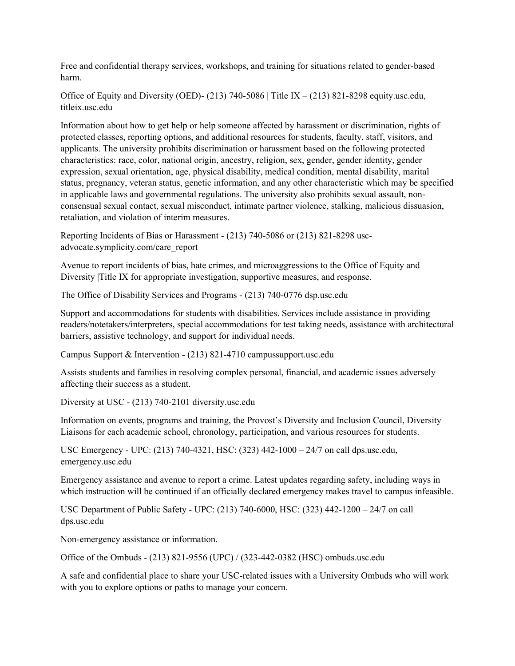Free and confidential therapy services, workshops, and training for situations related to gender-based harm.

Office of Equity and Diversity (OED)- (213) 740-5086 | Title IX – (213) 821-8298 equity.usc.edu, titleix.usc.edu

Information about how to get help or help someone affected by harassment or discrimination, rights of protected classes, reporting options, and additional resources for students, faculty, staff, visitors, and applicants. The university prohibits discrimination or harassment based on the following protected characteristics: race, color, national origin, ancestry, religion, sex, gender, gender identity, gender expression, sexual orientation, age, physical disability, medical condition, mental disability, marital status, pregnancy, veteran status, genetic information, and any other characteristic which may be specified in applicable laws and governmental regulations. The university also prohibits sexual assault, nonconsensual sexual contact, sexual misconduct, intimate partner violence, stalking, malicious dissuasion, retaliation, and violation of interim measures.

Reporting Incidents of Bias or Harassment - (213) 740-5086 or (213) 821-8298 uscadvocate.symplicity.com/care\_report

Avenue to report incidents of bias, hate crimes, and microaggressions to the Office of Equity and Diversity |Title IX for appropriate investigation, supportive measures, and response.

The Office of Disability Services and Programs - (213) 740-0776 dsp.usc.edu

Support and accommodations for students with disabilities. Services include assistance in providing readers/notetakers/interpreters, special accommodations for test taking needs, assistance with architectural barriers, assistive technology, and support for individual needs.

Campus Support & Intervention - (213) 821-4710 campussupport.usc.edu

Assists students and families in resolving complex personal, financial, and academic issues adversely affecting their success as a student.

Diversity at USC - (213) 740-2101 diversity.usc.edu

Information on events, programs and training, the Provost's Diversity and Inclusion Council, Diversity Liaisons for each academic school, chronology, participation, and various resources for students.

USC Emergency - UPC: (213) 740-4321, HSC: (323) 442-1000 – 24/7 on call dps.usc.edu, emergency.usc.edu

Emergency assistance and avenue to report a crime. Latest updates regarding safety, including ways in which instruction will be continued if an officially declared emergency makes travel to campus infeasible.

USC Department of Public Safety - UPC: (213) 740-6000, HSC: (323) 442-1200 – 24/7 on call dps.usc.edu

Non-emergency assistance or information.

Office of the Ombuds - (213) 821-9556 (UPC) / (323-442-0382 (HSC) ombuds.usc.edu

A safe and confidential place to share your USC-related issues with a University Ombuds who will work with you to explore options or paths to manage your concern.